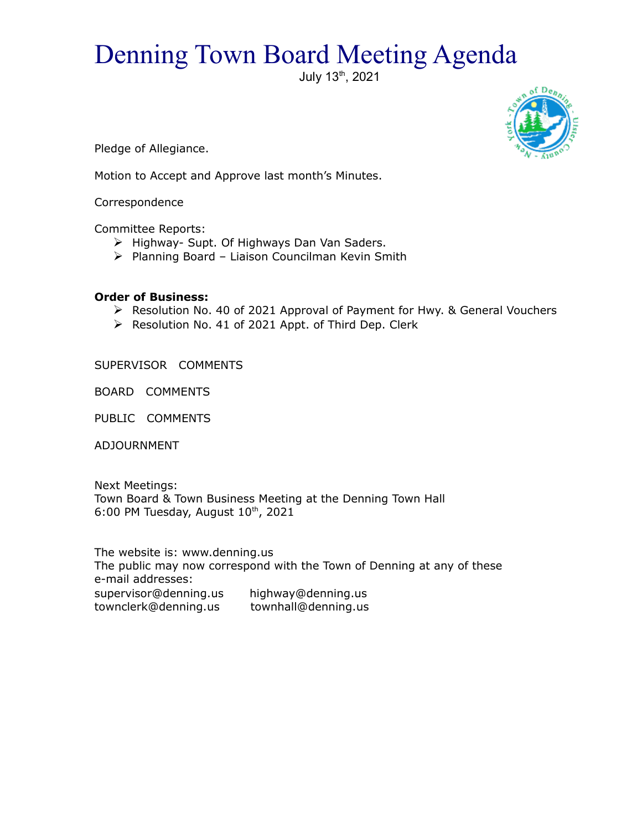## Denning Town Board Meeting Agenda

July 13th, 2021



Pledge of Allegiance.

Motion to Accept and Approve last month's Minutes.

Correspondence

Committee Reports:

- $\triangleright$  Highway- Supt. Of Highways Dan Van Saders.
- $\triangleright$  Planning Board Liaison Councilman Kevin Smith

## **Order of Business:**

- Resolution No. 40 of 2021 Approval of Payment for Hwy. & General Vouchers
- $\triangleright$  Resolution No. 41 of 2021 Appt. of Third Dep. Clerk

SUPERVISOR COMMENTS

BOARD COMMENTS

PUBLIC COMMENTS

ADJOURNMENT

Next Meetings: Town Board & Town Business Meeting at the Denning Town Hall 6:00 PM Tuesday, August  $10^{th}$ , 2021

The website is: www.denning.us The public may now correspond with the Town of Denning at any of these e-mail addresses: supervisor@denning.us highway@denning.us townclerk@denning.us townhall@denning.us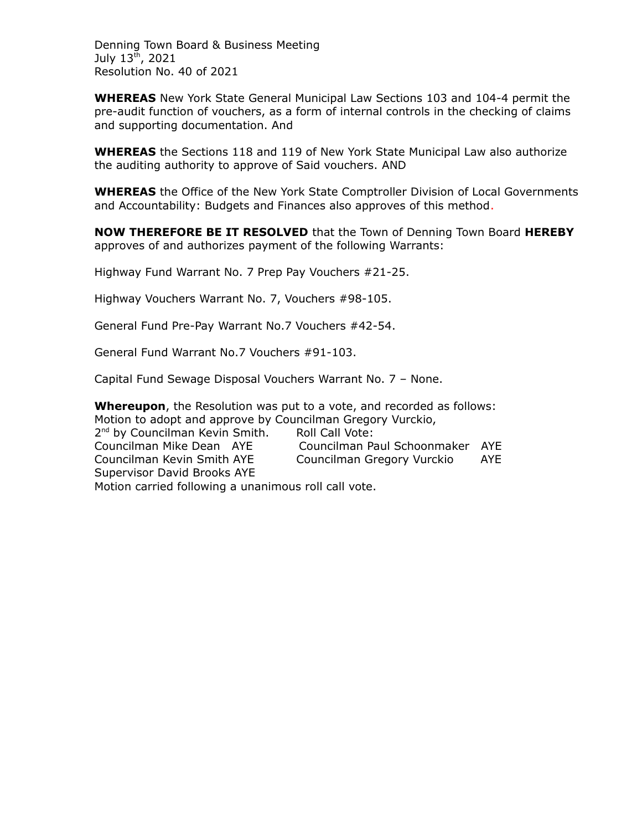Denning Town Board & Business Meeting July 13<sup>th</sup>, 2021 Resolution No. 40 of 2021

**WHEREAS** New York State General Municipal Law Sections 103 and 104-4 permit the pre-audit function of vouchers, as a form of internal controls in the checking of claims and supporting documentation. And

**WHEREAS** the Sections 118 and 119 of New York State Municipal Law also authorize the auditing authority to approve of Said vouchers. AND

**WHEREAS** the Office of the New York State Comptroller Division of Local Governments and Accountability: Budgets and Finances also approves of this method.

**NOW THEREFORE BE IT RESOLVED** that the Town of Denning Town Board **HEREBY** approves of and authorizes payment of the following Warrants:

Highway Fund Warrant No. 7 Prep Pay Vouchers #21-25.

Highway Vouchers Warrant No. 7, Vouchers #98-105.

General Fund Pre-Pay Warrant No.7 Vouchers #42-54.

General Fund Warrant No.7 Vouchers #91-103.

Capital Fund Sewage Disposal Vouchers Warrant No. 7 – None.

**Whereupon**, the Resolution was put to a vote, and recorded as follows: Motion to adopt and approve by Councilman Gregory Vurckio, 2<sup>nd</sup> by Councilman Kevin Smith. Roll Call Vote: Councilman Mike Dean AYE Councilman Paul Schoonmaker AYE Councilman Kevin Smith AYE Councilman Gregory Vurckio AYE

Supervisor David Brooks AYE

Motion carried following a unanimous roll call vote.